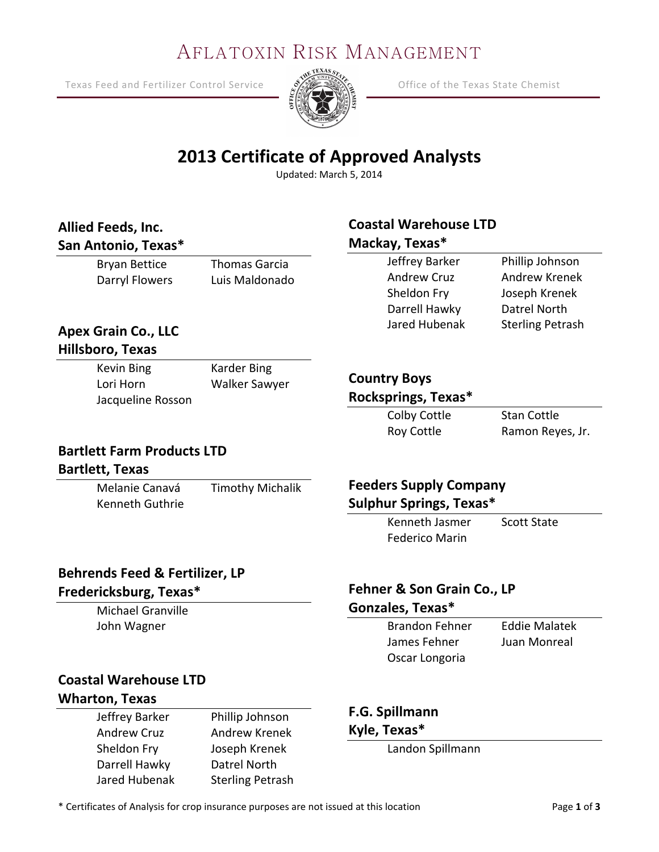# AFLATOXIN RISK MANAGEMENT

Texas Feed and Fertilizer Control Service  $\frac{S}{S}$   $\frac{S}{S}$  Office of the Texas State Chemist



# **2013 Certificate of Approved Analysts**

Updated: March 5, 2014

#### **Allied Feeds, Inc. San Antonio, Texas\***

#### Bryan Bettice Darryl Flowers Thomas Garcia Luis Maldonado

#### **Coastal Warehouse LTD Mackay, Texas\***

| Jeffrey Barker     | Phillip Johnson         |
|--------------------|-------------------------|
| <b>Andrew Cruz</b> | <b>Andrew Krenek</b>    |
| Sheldon Fry        | Joseph Krenek           |
| Darrell Hawky      | Datrel North            |
| Jared Hubenak      | <b>Sterling Petrash</b> |

#### **Apex Grain Co., LLC Hillsboro, Texas**

Kevin Bing Lori Horn Jacqueline Rosson Karder Bing Walker Sawyer

#### **Country Boys**

#### **Rocksprings, Texas\***

Colby Cottle Roy Cottle

Stan Cottle Ramon Reyes, Jr.

### **Bartlett Farm Products LTD**

#### **Bartlett, Texas**

Melanie Canavá Kenneth Guthrie Timothy Michalik

#### **Feeders Supply Company Sulphur Springs, Texas\***

Kenneth Jasmer Federico Marin Scott State

# **Behrends Feed & Fertilizer, LP**

#### **Fredericksburg, Texas\***

Michael Granville John Wagner

#### **Fehner & Son Grain Co., LP Gonzales, Texas\***

| <b>Brandon Fehner</b> | <b>Eddie Malatek</b> |
|-----------------------|----------------------|
| James Fehner          | Juan Monreal         |
| Oscar Longoria        |                      |

# **Coastal Warehouse LTD**

### **Wharton, Texas**

Jeffrey Barker Andrew Cruz Sheldon Fry Darrell Hawky Jared Hubenak Phillip Johnson Andrew Krenek Joseph Krenek Datrel North Sterling Petrash

#### **F.G. Spillmann**

#### **Kyle, Texas\***

Landon Spillmann

\* Certificates of Analysis for crop insurance purposes are not issued at this location Page **1** of **3**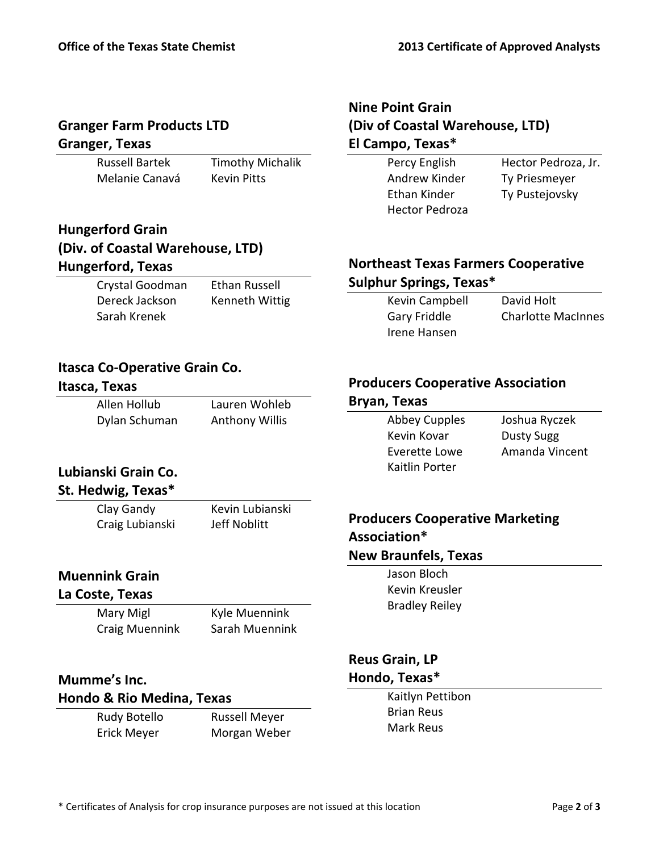#### **Granger Farm Products LTD Granger, Texas**

Russell Bartek Melanie Canavá

Timothy Michalik Kevin Pitts

#### **Hungerford Grain (Div. of Coastal Warehouse, LTD) Hungerford, Texas**

| Crystal Goodman | <b>Ethan Russell</b> |
|-----------------|----------------------|
| Dereck Jackson  | Kenneth Wittig       |
| Sarah Krenek    |                      |

#### **Nine Point Grain (Div of Coastal Warehouse, LTD) El Campo, Texas\***

Percy English Andrew Kinder Ethan Kinder Hector Pedroza

Hector Pedroza, Jr. Ty Priesmeyer Ty Pustejovsky

#### **Northeast Texas Farmers Cooperative Sulphur Springs, Texas\***

Kevin Campbell Gary Friddle Irene Hansen

David Holt Charlotte MacInnes

#### **Itasca Co-Operative Grain Co.**

#### **Itasca, Texas**

**Lubianski Grain Co. St. Hedwig, Texas\*** Clay Gandy Craig Lubianski

| Allen Hollub  | Lauren Wohleb         |
|---------------|-----------------------|
| Dylan Schuman | <b>Anthony Willis</b> |

#### **Producers Cooperative Association**

| Bryan, Texas         |                   |
|----------------------|-------------------|
| <b>Abbey Cupples</b> | Joshua Ryczek     |
| Kevin Kovar          | <b>Dusty Sugg</b> |
| Everette Lowe        | Amanda Vincent    |
| Kaitlin Porter       |                   |

# **Producers Cooperative Marketing Association\***

#### **New Braunfels, Texas**

Jason Bloch Kevin Kreusler Bradley Reiley

#### **Reus Grain, LP Hondo, Texas\***

Kaitlyn Pettibon Brian Reus Mark Reus

# **Muennink Grain**

## **La Coste, Texas**

Mary Migl Craig Muennink

Kyle Muennink Sarah Muennink

Kevin Lubianski Jeff Noblitt

#### **Mumme's Inc. Hondo & Rio Medina, Texas**

Rudy Botello Erick Meyer

Russell Meyer Morgan Weber